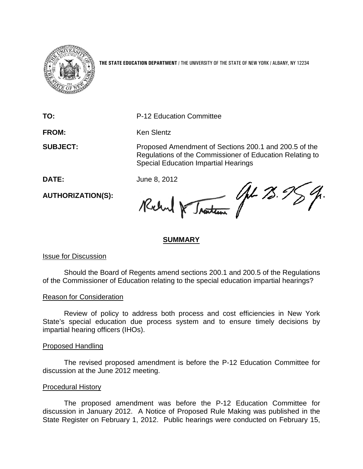

**THE STATE EDUCATION DEPARTMENT** / THE UNIVERSITY OF THE STATE OF NEW YORK / ALBANY, NY 12234

**TO:** P-12 Education Committee

FROM: Ken Slentz

**SUBJECT:** Proposed Amendment of Sections 200.1 and 200.5 of the Regulations of the Commissioner of Education Relating to Special Education Impartial Hearings

**AUTHORIZATION(S):**

DATE: June 8, 2012<br>AUTHORIZATION(S): Reclam Reclam 10 Justices 10 2.95 %.

# **SUMMARY**

# Issue for Discussion

Should the Board of Regents amend sections 200.1 and 200.5 of the Regulations of the Commissioner of Education relating to the special education impartial hearings?

# Reason for Consideration

Review of policy to address both process and cost efficiencies in New York State's special education due process system and to ensure timely decisions by impartial hearing officers (IHOs).

# Proposed Handling

The revised proposed amendment is before the P-12 Education Committee for discussion at the June 2012 meeting.

# Procedural History

The proposed amendment was before the P-12 Education Committee for discussion in January 2012. A Notice of Proposed Rule Making was published in the State Register on February 1, 2012. Public hearings were conducted on February 15,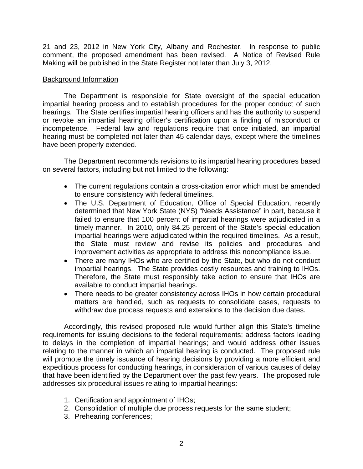21 and 23, 2012 in New York City, Albany and Rochester. In response to public comment, the proposed amendment has been revised. A Notice of Revised Rule Making will be published in the State Register not later than July 3, 2012.

# Background Information

The Department is responsible for State oversight of the special education impartial hearing process and to establish procedures for the proper conduct of such hearings. The State certifies impartial hearing officers and has the authority to suspend or revoke an impartial hearing officer's certification upon a finding of misconduct or incompetence. Federal law and regulations require that once initiated, an impartial hearing must be completed not later than 45 calendar days, except where the timelines have been properly extended.

The Department recommends revisions to its impartial hearing procedures based on several factors, including but not limited to the following:

- The current regulations contain a cross-citation error which must be amended to ensure consistency with federal timelines.
- The U.S. Department of Education, Office of Special Education, recently determined that New York State (NYS) "Needs Assistance" in part, because it failed to ensure that 100 percent of impartial hearings were adjudicated in a timely manner. In 2010, only 84.25 percent of the State's special education impartial hearings were adjudicated within the required timelines. As a result, the State must review and revise its policies and procedures and improvement activities as appropriate to address this noncompliance issue.
- There are many IHOs who are certified by the State, but who do not conduct impartial hearings. The State provides costly resources and training to IHOs. Therefore, the State must responsibly take action to ensure that IHOs are available to conduct impartial hearings.
- There needs to be greater consistency across IHOs in how certain procedural matters are handled, such as requests to consolidate cases, requests to withdraw due process requests and extensions to the decision due dates.

Accordingly, this revised proposed rule would further align this State's timeline requirements for issuing decisions to the federal requirements; address factors leading to delays in the completion of impartial hearings; and would address other issues relating to the manner in which an impartial hearing is conducted. The proposed rule will promote the timely issuance of hearing decisions by providing a more efficient and expeditious process for conducting hearings, in consideration of various causes of delay that have been identified by the Department over the past few years. The proposed rule addresses six procedural issues relating to impartial hearings:

- 1. Certification and appointment of IHOs;
- 2. Consolidation of multiple due process requests for the same student;
- 3. Prehearing conferences;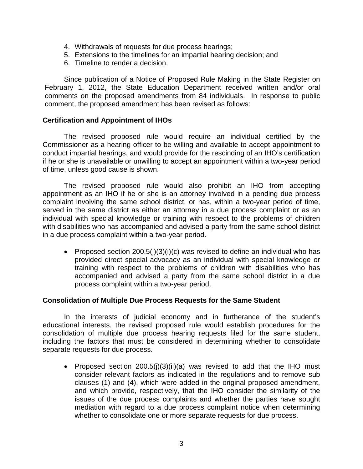- 4. Withdrawals of requests for due process hearings;
- 5. Extensions to the timelines for an impartial hearing decision; and
- 6. Timeline to render a decision.

Since publication of a Notice of Proposed Rule Making in the State Register on February 1, 2012, the State Education Department received written and/or oral comments on the proposed amendments from 84 individuals. In response to public comment, the proposed amendment has been revised as follows:

# **Certification and Appointment of IHOs**

The revised proposed rule would require an individual certified by the Commissioner as a hearing officer to be willing and available to accept appointment to conduct impartial hearings, and would provide for the rescinding of an IHO's certification if he or she is unavailable or unwilling to accept an appointment within a two-year period of time, unless good cause is shown.

The revised proposed rule would also prohibit an IHO from accepting appointment as an IHO if he or she is an attorney involved in a pending due process complaint involving the same school district, or has, within a two-year period of time, served in the same district as either an attorney in a due process complaint or as an individual with special knowledge or training with respect to the problems of children with disabilities who has accompanied and advised a party from the same school district in a due process complaint within a two-year period.

• Proposed section  $200.5(i)(3)(i)(c)$  was revised to define an individual who has provided direct special advocacy as an individual with special knowledge or training with respect to the problems of children with disabilities who has accompanied and advised a party from the same school district in a due process complaint within a two-year period.

# **Consolidation of Multiple Due Process Requests for the Same Student**

In the interests of judicial economy and in furtherance of the student's educational interests, the revised proposed rule would establish procedures for the consolidation of multiple due process hearing requests filed for the same student, including the factors that must be considered in determining whether to consolidate separate requests for due process.

• Proposed section 200.5(j)(3)(ii)(a) was revised to add that the IHO must consider relevant factors as indicated in the regulations and to remove sub clauses (1) and (4), which were added in the original proposed amendment, and which provide, respectively, that the IHO consider the similarity of the issues of the due process complaints and whether the parties have sought mediation with regard to a due process complaint notice when determining whether to consolidate one or more separate requests for due process.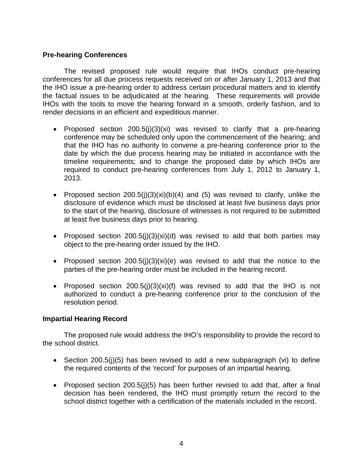# **Pre-hearing Conferences**

The revised proposed rule would require that IHOs conduct pre-hearing conferences for all due process requests received on or after January 1, 2013 and that the IHO issue a pre-hearing order to address certain procedural matters and to identify the factual issues to be adjudicated at the hearing. These requirements will provide IHOs with the tools to move the hearing forward in a smooth, orderly fashion, and to render decisions in an efficient and expeditious manner.

- Proposed section 200.5(j)(3)(xi) was revised to clarify that a pre-hearing conference may be scheduled only upon the commencement of the hearing; and that the IHO has no authority to convene a pre-hearing conference prior to the date by which the due process hearing may be initiated in accordance with the timeline requirements; and to change the proposed date by which IHOs are required to conduct pre-hearing conferences from July 1, 2012 to January 1, 2013.
- Proposed section  $200.5(j)(3)(xi)(b)(4)$  and (5) was revised to clarify, unlike the disclosure of evidence which must be disclosed at least five business days prior to the start of the hearing, disclosure of witnesses is not required to be submitted at least five business days prior to hearing.
- Proposed section 200.5(j)(3)(xi)(d) was revised to add that both parties may object to the pre-hearing order issued by the IHO.
- Proposed section  $200.5(i)(3)(xi)(e)$  was revised to add that the notice to the parties of the pre-hearing order must be included in the hearing record.
- Proposed section  $200.5(j)(3)(xi)(f)$  was revised to add that the IHO is not authorized to conduct a pre-hearing conference prior to the conclusion of the resolution period.

# **Impartial Hearing Record**

The proposed rule would address the IHO's responsibility to provide the record to the school district.

- Section 200.5(i)(5) has been revised to add a new subparagraph (vi) to define the required contents of the 'record' for purposes of an impartial hearing.
- Proposed section 200.5(j)(5) has been further revised to add that, after a final decision has been rendered, the IHO must promptly return the record to the school district together with a certification of the materials included in the record.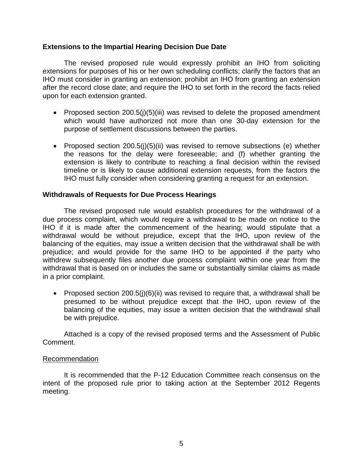# **Extensions to the Impartial Hearing Decision Due Date**

The revised proposed rule would expressly prohibit an IHO from soliciting extensions for purposes of his or her own scheduling conflicts; clarify the factors that an IHO must consider in granting an extension; prohibit an IHO from granting an extension after the record close date; and require the IHO to set forth in the record the facts relied upon for each extension granted.

- Proposed section 200.5(j)(5)(iii) was revised to delete the proposed amendment which would have authorized not more than one 30-day extension for the purpose of settlement discussions between the parties.
- Proposed section 200.5(j)(5)(ii) was revised to remove subsections (e) whether the reasons for the delay were foreseeable; and (f) whether granting the extension is likely to contribute to reaching a final decision within the revised timeline or is likely to cause additional extension requests, from the factors the IHO must fully consider when considering granting a request for an extension.

# **Withdrawals of Requests for Due Process Hearings**

The revised proposed rule would establish procedures for the withdrawal of a due process complaint, which would require a withdrawal to be made on notice to the IHO if it is made after the commencement of the hearing; would stipulate that a withdrawal would be without prejudice, except that the IHO, upon review of the balancing of the equities, may issue a written decision that the withdrawal shall be with prejudice; and would provide for the same IHO to be appointed if the party who withdrew subsequently files another due process complaint within one year from the withdrawal that is based on or includes the same or substantially similar claims as made in a prior complaint.

• Proposed section 200.5(i)(6)(ii) was revised to require that, a withdrawal shall be presumed to be without prejudice except that the IHO, upon review of the balancing of the equities, may issue a written decision that the withdrawal shall be with prejudice.

Attached is a copy of the revised proposed terms and the Assessment of Public Comment.

# Recommendation

It is recommended that the P-12 Education Committee reach consensus on the intent of the proposed rule prior to taking action at the September 2012 Regents meeting.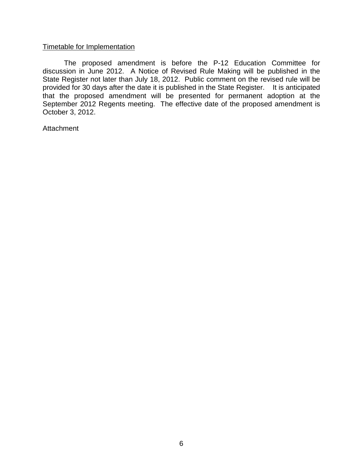# Timetable for Implementation

The proposed amendment is before the P-12 Education Committee for discussion in June 2012. A Notice of Revised Rule Making will be published in the State Register not later than July 18, 2012. Public comment on the revised rule will be provided for 30 days after the date it is published in the State Register. It is anticipated that the proposed amendment will be presented for permanent adoption at the September 2012 Regents meeting. The effective date of the proposed amendment is October 3, 2012.

**Attachment**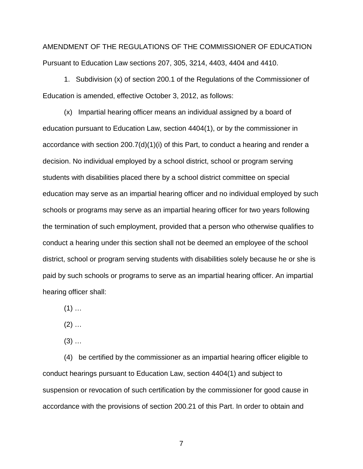AMENDMENT OF THE REGULATIONS OF THE COMMISSIONER OF EDUCATION Pursuant to Education Law sections 207, 305, 3214, 4403, 4404 and 4410.

1. Subdivision (x) of section 200.1 of the Regulations of the Commissioner of Education is amended, effective October 3, 2012, as follows:

(x) Impartial hearing officer means an individual assigned by a board of education pursuant to Education Law, section 4404(1), or by the commissioner in accordance with section 200.7(d)(1)(i) of this Part, to conduct a hearing and render a decision. No individual employed by a school district, school or program serving students with disabilities placed there by a school district committee on special education may serve as an impartial hearing officer and no individual employed by such schools or programs may serve as an impartial hearing officer for two years following the termination of such employment, provided that a person who otherwise qualifies to conduct a hearing under this section shall not be deemed an employee of the school district, school or program serving students with disabilities solely because he or she is paid by such schools or programs to serve as an impartial hearing officer. An impartial hearing officer shall:

 $(1)$  ...

 $(2)$  ...

 $(3)$  ...

(4) be certified by the commissioner as an impartial hearing officer eligible to conduct hearings pursuant to Education Law, section 4404(1) and subject to suspension or revocation of such certification by the commissioner for good cause in accordance with the provisions of section 200.21 of this Part. In order to obtain and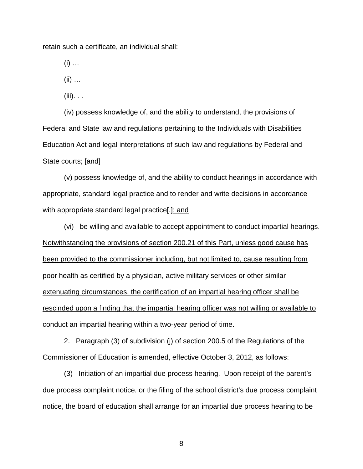retain such a certificate, an individual shall:

 $(i)$  ...

(ii) …

 $(iii)$ . . .

(iv) possess knowledge of, and the ability to understand, the provisions of Federal and State law and regulations pertaining to the Individuals with Disabilities Education Act and legal interpretations of such law and regulations by Federal and State courts; [and]

(v) possess knowledge of, and the ability to conduct hearings in accordance with appropriate, standard legal practice and to render and write decisions in accordance with appropriate standard legal practice[.]; and

(vi) be willing and available to accept appointment to conduct impartial hearings. Notwithstanding the provisions of section 200.21 of this Part, unless good cause has been provided to the commissioner including, but not limited to, cause resulting from poor health as certified by a physician, active military services or other similar extenuating circumstances, the certification of an impartial hearing officer shall be rescinded upon a finding that the impartial hearing officer was not willing or available to conduct an impartial hearing within a two-year period of time.

2. Paragraph (3) of subdivision (j) of section 200.5 of the Regulations of the Commissioner of Education is amended, effective October 3, 2012, as follows:

(3) Initiation of an impartial due process hearing. Upon receipt of the parent's due process complaint notice, or the filing of the school district's due process complaint notice, the board of education shall arrange for an impartial due process hearing to be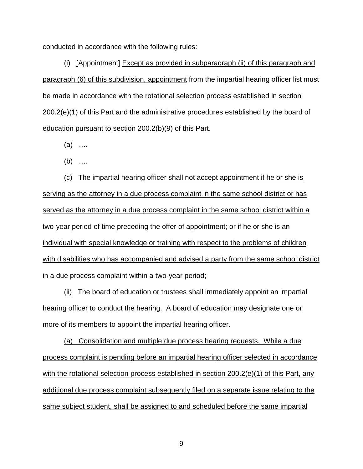conducted in accordance with the following rules:

(i) [Appointment] Except as provided in subparagraph (ii) of this paragraph and paragraph (6) of this subdivision, appointment from the impartial hearing officer list must be made in accordance with the rotational selection process established in section 200.2(e)(1) of this Part and the administrative procedures established by the board of education pursuant to section 200.2(b)(9) of this Part.

(a) ….

(b) ….

(c) The impartial hearing officer shall not accept appointment if he or she is serving as the attorney in a due process complaint in the same school district or has served as the attorney in a due process complaint in the same school district within a two-year period of time preceding the offer of appointment; or if he or she is an individual with special knowledge or training with respect to the problems of children with disabilities who has accompanied and advised a party from the same school district in a due process complaint within a two-year period;

(ii) The board of education or trustees shall immediately appoint an impartial hearing officer to conduct the hearing. A board of education may designate one or more of its members to appoint the impartial hearing officer.

(a) Consolidation and multiple due process hearing requests. While a due process complaint is pending before an impartial hearing officer selected in accordance with the rotational selection process established in section 200.2(e)(1) of this Part, any additional due process complaint subsequently filed on a separate issue relating to the same subject student, shall be assigned to and scheduled before the same impartial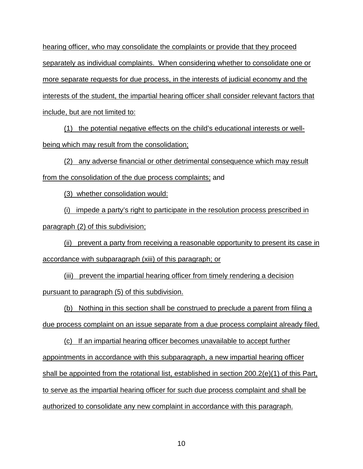hearing officer, who may consolidate the complaints or provide that they proceed separately as individual complaints. When considering whether to consolidate one or more separate requests for due process, in the interests of judicial economy and the interests of the student, the impartial hearing officer shall consider relevant factors that include, but are not limited to:

(1) the potential negative effects on the child's educational interests or wellbeing which may result from the consolidation;

(2) any adverse financial or other detrimental consequence which may result from the consolidation of the due process complaints; and

(3) whether consolidation would:

(i) impede a party's right to participate in the resolution process prescribed in paragraph (2) of this subdivision;

(ii) prevent a party from receiving a reasonable opportunity to present its case in accordance with subparagraph (xiii) of this paragraph; or

(iii) prevent the impartial hearing officer from timely rendering a decision pursuant to paragraph (5) of this subdivision.

(b) Nothing in this section shall be construed to preclude a parent from filing a due process complaint on an issue separate from a due process complaint already filed.

(c) If an impartial hearing officer becomes unavailable to accept further appointments in accordance with this subparagraph, a new impartial hearing officer shall be appointed from the rotational list, established in section 200.2(e)(1) of this Part, to serve as the impartial hearing officer for such due process complaint and shall be authorized to consolidate any new complaint in accordance with this paragraph.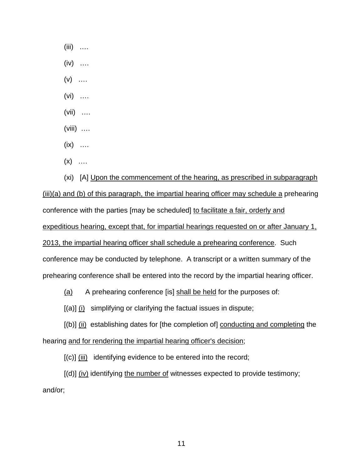$(iii)$  …

 $(iv)$  …

 $(v)$  ....

(vi) ….

(vii) ….

(viii) ….

 $(ix)$  …

 $(x)$  …

(xi) [A] Upon the commencement of the hearing, as prescribed in subparagraph (iii)(a) and (b) of this paragraph, the impartial hearing officer may schedule a prehearing conference with the parties [may be scheduled] to facilitate a fair, orderly and expeditious hearing, except that, for impartial hearings requested on or after January 1, 2013, the impartial hearing officer shall schedule a prehearing conference. Such conference may be conducted by telephone. A transcript or a written summary of the prehearing conference shall be entered into the record by the impartial hearing officer.

(a) A prehearing conference [is] shall be held for the purposes of:

 $[(a)]$   $(i)$  simplifying or clarifying the factual issues in dispute;

[(b)] (ii) establishing dates for [the completion of] conducting and completing the hearing and for rendering the impartial hearing officer's decision;

 $[(c)]$   $(iii)$  identifying evidence to be entered into the record;

[(d)] (iv) identifying the number of witnesses expected to provide testimony; and/or;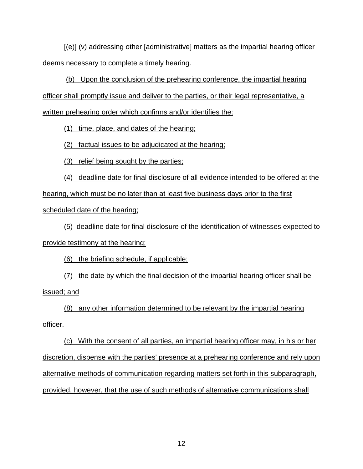$[(e)] (v)$  addressing other [administrative] matters as the impartial hearing officer deems necessary to complete a timely hearing.

(b) Upon the conclusion of the prehearing conference, the impartial hearing officer shall promptly issue and deliver to the parties, or their legal representative, a written prehearing order which confirms and/or identifies the:

(1) time, place, and dates of the hearing;

(2) factual issues to be adjudicated at the hearing;

(3) relief being sought by the parties;

(4) deadline date for final disclosure of all evidence intended to be offered at the hearing, which must be no later than at least five business days prior to the first scheduled date of the hearing;

(5) deadline date for final disclosure of the identification of witnesses expected to provide testimony at the hearing;

(6) the briefing schedule, if applicable;

(7) the date by which the final decision of the impartial hearing officer shall be issued; and

(8) any other information determined to be relevant by the impartial hearing officer.

(c) With the consent of all parties, an impartial hearing officer may, in his or her discretion, dispense with the parties' presence at a prehearing conference and rely upon alternative methods of communication regarding matters set forth in this subparagraph, provided, however, that the use of such methods of alternative communications shall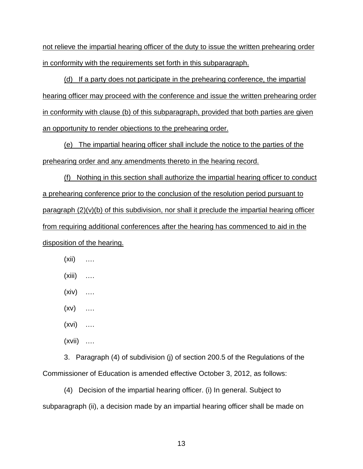not relieve the impartial hearing officer of the duty to issue the written prehearing order in conformity with the requirements set forth in this subparagraph.

(d) If a party does not participate in the prehearing conference, the impartial hearing officer may proceed with the conference and issue the written prehearing order in conformity with clause (b) of this subparagraph, provided that both parties are given an opportunity to render objections to the prehearing order.

(e) The impartial hearing officer shall include the notice to the parties of the prehearing order and any amendments thereto in the hearing record.

(f) Nothing in this section shall authorize the impartial hearing officer to conduct a prehearing conference prior to the conclusion of the resolution period pursuant to paragraph  $(2)(v)(b)$  of this subdivision, nor shall it preclude the impartial hearing officer from requiring additional conferences after the hearing has commenced to aid in the disposition of the hearing.

- (xii) ….
- (xiii) ….
- $(xiv)$  …
- $(xv)$  …
- (xvi) ….
- (xvii) ….

3. Paragraph (4) of subdivision (j) of section 200.5 of the Regulations of the Commissioner of Education is amended effective October 3, 2012, as follows:

(4) Decision of the impartial hearing officer. (i) In general. Subject to subparagraph (ii), a decision made by an impartial hearing officer shall be made on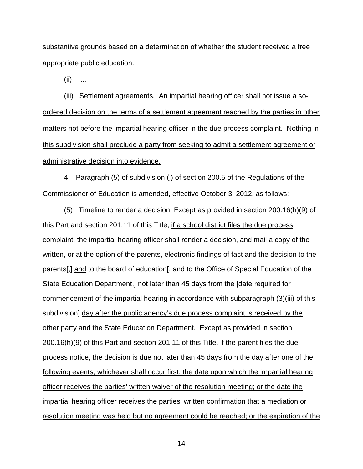substantive grounds based on a determination of whether the student received a free appropriate public education.

 $(ii)$  …

(iii) Settlement agreements. An impartial hearing officer shall not issue a soordered decision on the terms of a settlement agreement reached by the parties in other matters not before the impartial hearing officer in the due process complaint. Nothing in this subdivision shall preclude a party from seeking to admit a settlement agreement or administrative decision into evidence.

4. Paragraph (5) of subdivision (j) of section 200.5 of the Regulations of the Commissioner of Education is amended, effective October 3, 2012, as follows:

(5) Timeline to render a decision. Except as provided in section 200.16(h)(9) of this Part and section 201.11 of this Title, if a school district files the due process complaint, the impartial hearing officer shall render a decision, and mail a copy of the written, or at the option of the parents, electronic findings of fact and the decision to the parents[,] and to the board of education[, and to the Office of Special Education of the State Education Department,] not later than 45 days from the [date required for commencement of the impartial hearing in accordance with subparagraph (3)(iii) of this subdivision] day after the public agency's due process complaint is received by the other party and the State Education Department. Except as provided in section 200.16(h)(9) of this Part and section 201.11 of this Title, if the parent files the due process notice, the decision is due not later than 45 days from the day after one of the following events, whichever shall occur first: the date upon which the impartial hearing officer receives the parties' written waiver of the resolution meeting; or the date the impartial hearing officer receives the parties' written confirmation that a mediation or resolution meeting was held but no agreement could be reached; or the expiration of the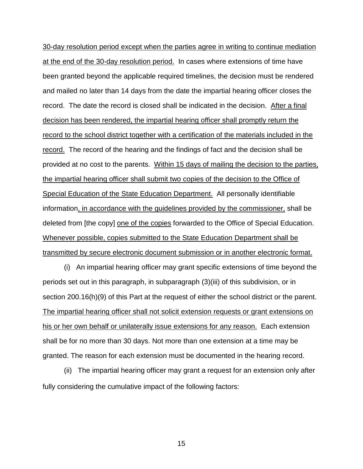30-day resolution period except when the parties agree in writing to continue mediation at the end of the 30-day resolution period. In cases where extensions of time have been granted beyond the applicable required timelines, the decision must be rendered and mailed no later than 14 days from the date the impartial hearing officer closes the record. The date the record is closed shall be indicated in the decision. After a final decision has been rendered, the impartial hearing officer shall promptly return the record to the school district together with a certification of the materials included in the record. The record of the hearing and the findings of fact and the decision shall be provided at no cost to the parents. Within 15 days of mailing the decision to the parties, the impartial hearing officer shall submit two copies of the decision to the Office of Special Education of the State Education Department. All personally identifiable information, in accordance with the guidelines provided by the commissioner, shall be deleted from [the copy] one of the copies forwarded to the Office of Special Education. Whenever possible, copies submitted to the State Education Department shall be transmitted by secure electronic document submission or in another electronic format.

(i) An impartial hearing officer may grant specific extensions of time beyond the periods set out in this paragraph, in subparagraph (3)(iii) of this subdivision, or in section 200.16(h)(9) of this Part at the request of either the school district or the parent. The impartial hearing officer shall not solicit extension requests or grant extensions on his or her own behalf or unilaterally issue extensions for any reason. Each extension shall be for no more than 30 days. Not more than one extension at a time may be granted. The reason for each extension must be documented in the hearing record.

(ii) The impartial hearing officer may grant a request for an extension only after fully considering the cumulative impact of the following factors: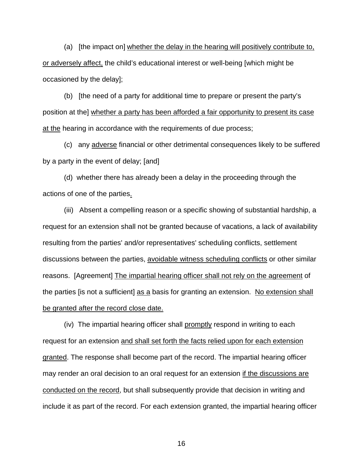(a) [the impact on] whether the delay in the hearing will positively contribute to, or adversely affect, the child's educational interest or well-being [which might be occasioned by the delay];

(b) [the need of a party for additional time to prepare or present the party's position at the] whether a party has been afforded a fair opportunity to present its case at the hearing in accordance with the requirements of due process;

(c) any adverse financial or other detrimental consequences likely to be suffered by a party in the event of delay; [and]

(d) whether there has already been a delay in the proceeding through the actions of one of the parties.

(iii) Absent a compelling reason or a specific showing of substantial hardship, a request for an extension shall not be granted because of vacations, a lack of availability resulting from the parties' and/or representatives' scheduling conflicts, settlement discussions between the parties, avoidable witness scheduling conflicts or other similar reasons. [Agreement] The impartial hearing officer shall not rely on the agreement of the parties [is not a sufficient] as a basis for granting an extension. No extension shall be granted after the record close date.

(iv) The impartial hearing officer shall promptly respond in writing to each request for an extension and shall set forth the facts relied upon for each extension granted. The response shall become part of the record. The impartial hearing officer may render an oral decision to an oral request for an extension if the discussions are conducted on the record, but shall subsequently provide that decision in writing and include it as part of the record. For each extension granted, the impartial hearing officer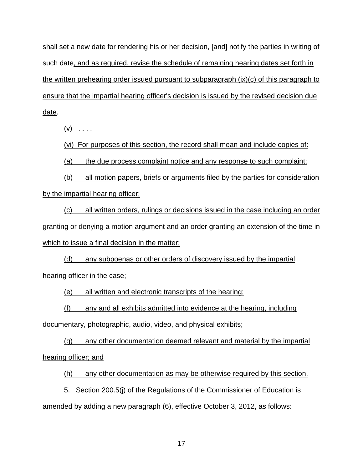shall set a new date for rendering his or her decision, [and] notify the parties in writing of such date, and as required, revise the schedule of remaining hearing dates set forth in the written prehearing order issued pursuant to subparagraph (ix)(c) of this paragraph to ensure that the impartial hearing officer's decision is issued by the revised decision due date.

 $(v)$  . . . .

(vi) For purposes of this section, the record shall mean and include copies of:

(a) the due process complaint notice and any response to such complaint;

(b) all motion papers, briefs or arguments filed by the parties for consideration by the impartial hearing officer;

(c) all written orders, rulings or decisions issued in the case including an order granting or denying a motion argument and an order granting an extension of the time in which to issue a final decision in the matter;

(d) any subpoenas or other orders of discovery issued by the impartial hearing officer in the case;

(e) all written and electronic transcripts of the hearing;

(f) any and all exhibits admitted into evidence at the hearing, including

documentary, photographic, audio, video, and physical exhibits;

(g) any other documentation deemed relevant and material by the impartial hearing officer; and

(h) any other documentation as may be otherwise required by this section.

5. Section 200.5(j) of the Regulations of the Commissioner of Education is amended by adding a new paragraph (6), effective October 3, 2012, as follows: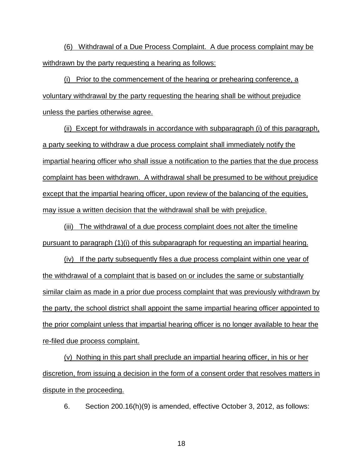(6) Withdrawal of a Due Process Complaint. A due process complaint may be withdrawn by the party requesting a hearing as follows:

(i) Prior to the commencement of the hearing or prehearing conference, a voluntary withdrawal by the party requesting the hearing shall be without prejudice unless the parties otherwise agree.

(ii) Except for withdrawals in accordance with subparagraph (i) of this paragraph, a party seeking to withdraw a due process complaint shall immediately notify the impartial hearing officer who shall issue a notification to the parties that the due process complaint has been withdrawn. A withdrawal shall be presumed to be without prejudice except that the impartial hearing officer, upon review of the balancing of the equities, may issue a written decision that the withdrawal shall be with prejudice.

(iii) The withdrawal of a due process complaint does not alter the timeline pursuant to paragraph (1)(i) of this subparagraph for requesting an impartial hearing.

(iv) If the party subsequently files a due process complaint within one year of the withdrawal of a complaint that is based on or includes the same or substantially similar claim as made in a prior due process complaint that was previously withdrawn by the party, the school district shall appoint the same impartial hearing officer appointed to the prior complaint unless that impartial hearing officer is no longer available to hear the re-filed due process complaint.

(v) Nothing in this part shall preclude an impartial hearing officer, in his or her discretion, from issuing a decision in the form of a consent order that resolves matters in dispute in the proceeding.

6. Section 200.16(h)(9) is amended, effective October 3, 2012, as follows: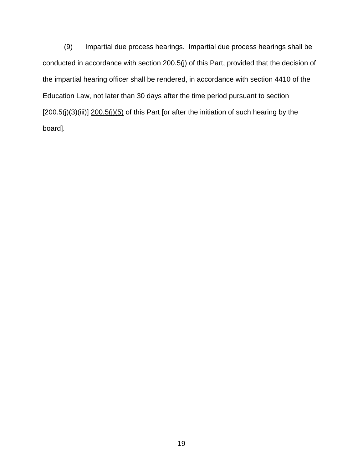(9) Impartial due process hearings. Impartial due process hearings shall be conducted in accordance with section 200.5(j) of this Part, provided that the decision of the impartial hearing officer shall be rendered, in accordance with section 4410 of the Education Law, not later than 30 days after the time period pursuant to section  $[200.5(j)(3)(iii)]$   $200.5(j)(5)$  of this Part [or after the initiation of such hearing by the board].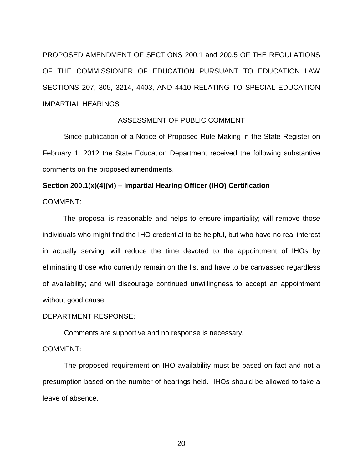PROPOSED AMENDMENT OF SECTIONS 200.1 and 200.5 OF THE REGULATIONS OF THE COMMISSIONER OF EDUCATION PURSUANT TO EDUCATION LAW SECTIONS 207, 305, 3214, 4403, AND 4410 RELATING TO SPECIAL EDUCATION IMPARTIAL HEARINGS

# ASSESSMENT OF PUBLIC COMMENT

Since publication of a Notice of Proposed Rule Making in the State Register on February 1, 2012 the State Education Department received the following substantive comments on the proposed amendments.

# **Section 200.1(x)(4)(vi) – Impartial Hearing Officer (IHO) Certification**

COMMENT:

The proposal is reasonable and helps to ensure impartiality; will remove those individuals who might find the IHO credential to be helpful, but who have no real interest in actually serving; will reduce the time devoted to the appointment of IHOs by eliminating those who currently remain on the list and have to be canvassed regardless of availability; and will discourage continued unwillingness to accept an appointment without good cause.

#### DEPARTMENT RESPONSE:

Comments are supportive and no response is necessary.

# COMMENT:

The proposed requirement on IHO availability must be based on fact and not a presumption based on the number of hearings held. IHOs should be allowed to take a leave of absence.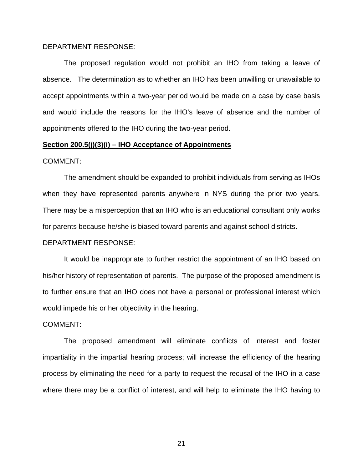## DEPARTMENT RESPONSE:

The proposed regulation would not prohibit an IHO from taking a leave of absence. The determination as to whether an IHO has been unwilling or unavailable to accept appointments within a two-year period would be made on a case by case basis and would include the reasons for the IHO's leave of absence and the number of appointments offered to the IHO during the two-year period.

#### **Section 200.5(j)(3)(i) – IHO Acceptance of Appointments**

#### COMMENT:

The amendment should be expanded to prohibit individuals from serving as IHOs when they have represented parents anywhere in NYS during the prior two years. There may be a misperception that an IHO who is an educational consultant only works for parents because he/she is biased toward parents and against school districts.

#### DEPARTMENT RESPONSE:

It would be inappropriate to further restrict the appointment of an IHO based on his/her history of representation of parents. The purpose of the proposed amendment is to further ensure that an IHO does not have a personal or professional interest which would impede his or her objectivity in the hearing.

#### COMMENT:

The proposed amendment will eliminate conflicts of interest and foster impartiality in the impartial hearing process; will increase the efficiency of the hearing process by eliminating the need for a party to request the recusal of the IHO in a case where there may be a conflict of interest, and will help to eliminate the IHO having to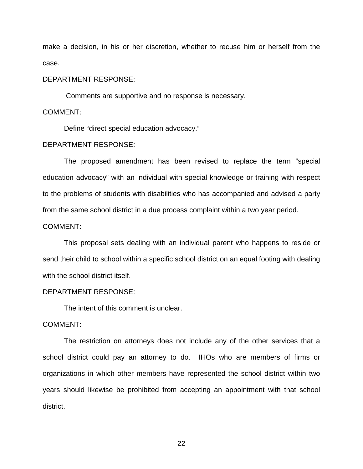make a decision, in his or her discretion, whether to recuse him or herself from the case.

## DEPARTMENT RESPONSE:

Comments are supportive and no response is necessary.

#### COMMENT:

Define "direct special education advocacy."

# DEPARTMENT RESPONSE:

The proposed amendment has been revised to replace the term "special education advocacy" with an individual with special knowledge or training with respect to the problems of students with disabilities who has accompanied and advised a party from the same school district in a due process complaint within a two year period.

# COMMENT:

This proposal sets dealing with an individual parent who happens to reside or send their child to school within a specific school district on an equal footing with dealing with the school district itself.

## DEPARTMENT RESPONSE:

The intent of this comment is unclear.

## COMMENT:

The restriction on attorneys does not include any of the other services that a school district could pay an attorney to do. IHOs who are members of firms or organizations in which other members have represented the school district within two years should likewise be prohibited from accepting an appointment with that school district.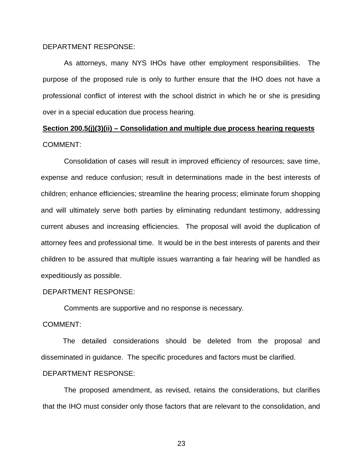## DEPARTMENT RESPONSE:

As attorneys, many NYS IHOs have other employment responsibilities. The purpose of the proposed rule is only to further ensure that the IHO does not have a professional conflict of interest with the school district in which he or she is presiding over in a special education due process hearing.

# **Section 200.5(j)(3)(ii) – Consolidation and multiple due process hearing requests**  COMMENT:

Consolidation of cases will result in improved efficiency of resources; save time, expense and reduce confusion; result in determinations made in the best interests of children; enhance efficiencies; streamline the hearing process; eliminate forum shopping and will ultimately serve both parties by eliminating redundant testimony, addressing current abuses and increasing efficiencies. The proposal will avoid the duplication of attorney fees and professional time. It would be in the best interests of parents and their children to be assured that multiple issues warranting a fair hearing will be handled as expeditiously as possible.

# DEPARTMENT RESPONSE:

Comments are supportive and no response is necessary.

## COMMENT:

The detailed considerations should be deleted from the proposal and disseminated in guidance. The specific procedures and factors must be clarified.

# DEPARTMENT RESPONSE:

The proposed amendment, as revised, retains the considerations, but clarifies that the IHO must consider only those factors that are relevant to the consolidation, and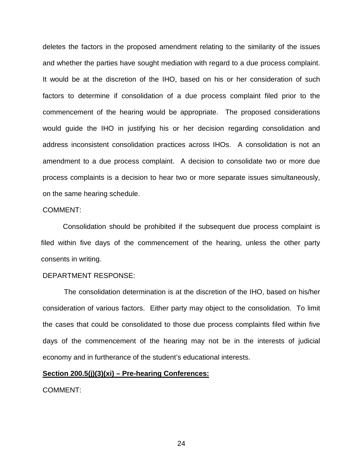deletes the factors in the proposed amendment relating to the similarity of the issues and whether the parties have sought mediation with regard to a due process complaint. It would be at the discretion of the IHO, based on his or her consideration of such factors to determine if consolidation of a due process complaint filed prior to the commencement of the hearing would be appropriate. The proposed considerations would guide the IHO in justifying his or her decision regarding consolidation and address inconsistent consolidation practices across IHOs. A consolidation is not an amendment to a due process complaint. A decision to consolidate two or more due process complaints is a decision to hear two or more separate issues simultaneously, on the same hearing schedule.

#### COMMENT:

Consolidation should be prohibited if the subsequent due process complaint is filed within five days of the commencement of the hearing, unless the other party consents in writing.

## DEPARTMENT RESPONSE:

The consolidation determination is at the discretion of the IHO, based on his/her consideration of various factors. Either party may object to the consolidation. To limit the cases that could be consolidated to those due process complaints filed within five days of the commencement of the hearing may not be in the interests of judicial economy and in furtherance of the student's educational interests.

#### **Section 200.5(j)(3)(xi) – Pre-hearing Conferences:**

COMMENT: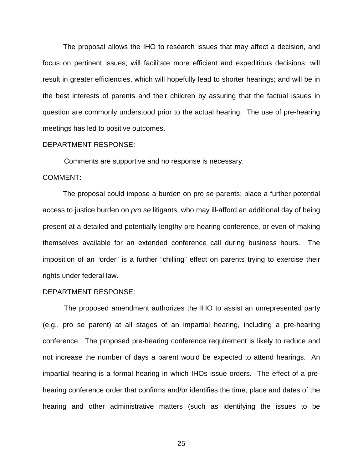The proposal allows the IHO to research issues that may affect a decision, and focus on pertinent issues; will facilitate more efficient and expeditious decisions; will result in greater efficiencies, which will hopefully lead to shorter hearings; and will be in the best interests of parents and their children by assuring that the factual issues in question are commonly understood prior to the actual hearing. The use of pre-hearing meetings has led to positive outcomes.

#### DEPARTMENT RESPONSE:

Comments are supportive and no response is necessary.

## COMMENT:

The proposal could impose a burden on pro se parents; place a further potential access to justice burden on *pro se* litigants, who may ill-afford an additional day of being present at a detailed and potentially lengthy pre-hearing conference, or even of making themselves available for an extended conference call during business hours. The imposition of an "order" is a further "chilling" effect on parents trying to exercise their rights under federal law.

#### DEPARTMENT RESPONSE:

The proposed amendment authorizes the IHO to assist an unrepresented party (e.g., pro se parent) at all stages of an impartial hearing, including a pre-hearing conference. The proposed pre-hearing conference requirement is likely to reduce and not increase the number of days a parent would be expected to attend hearings. An impartial hearing is a formal hearing in which IHOs issue orders. The effect of a prehearing conference order that confirms and/or identifies the time, place and dates of the hearing and other administrative matters (such as identifying the issues to be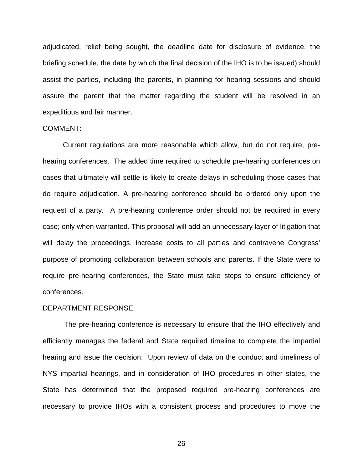adjudicated, relief being sought, the deadline date for disclosure of evidence, the briefing schedule, the date by which the final decision of the IHO is to be issued) should assist the parties, including the parents, in planning for hearing sessions and should assure the parent that the matter regarding the student will be resolved in an expeditious and fair manner.

#### COMMENT:

Current regulations are more reasonable which allow, but do not require, prehearing conferences. The added time required to schedule pre-hearing conferences on cases that ultimately will settle is likely to create delays in scheduling those cases that do require adjudication. A pre-hearing conference should be ordered only upon the request of a party. A pre-hearing conference order should not be required in every case; only when warranted. This proposal will add an unnecessary layer of litigation that will delay the proceedings, increase costs to all parties and contravene Congress' purpose of promoting collaboration between schools and parents. If the State were to require pre-hearing conferences, the State must take steps to ensure efficiency of conferences.

#### DEPARTMENT RESPONSE:

The pre-hearing conference is necessary to ensure that the IHO effectively and efficiently manages the federal and State required timeline to complete the impartial hearing and issue the decision. Upon review of data on the conduct and timeliness of NYS impartial hearings, and in consideration of IHO procedures in other states, the State has determined that the proposed required pre-hearing conferences are necessary to provide IHOs with a consistent process and procedures to move the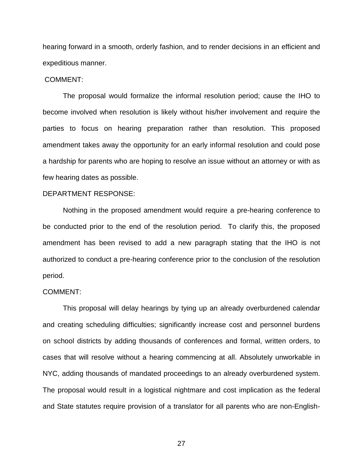hearing forward in a smooth, orderly fashion, and to render decisions in an efficient and expeditious manner.

## COMMENT:

The proposal would formalize the informal resolution period; cause the IHO to become involved when resolution is likely without his/her involvement and require the parties to focus on hearing preparation rather than resolution. This proposed amendment takes away the opportunity for an early informal resolution and could pose a hardship for parents who are hoping to resolve an issue without an attorney or with as few hearing dates as possible.

## DEPARTMENT RESPONSE:

Nothing in the proposed amendment would require a pre-hearing conference to be conducted prior to the end of the resolution period. To clarify this, the proposed amendment has been revised to add a new paragraph stating that the IHO is not authorized to conduct a pre-hearing conference prior to the conclusion of the resolution period.

#### COMMENT:

This proposal will delay hearings by tying up an already overburdened calendar and creating scheduling difficulties; significantly increase cost and personnel burdens on school districts by adding thousands of conferences and formal, written orders, to cases that will resolve without a hearing commencing at all. Absolutely unworkable in NYC, adding thousands of mandated proceedings to an already overburdened system. The proposal would result in a logistical nightmare and cost implication as the federal and State statutes require provision of a translator for all parents who are non-English-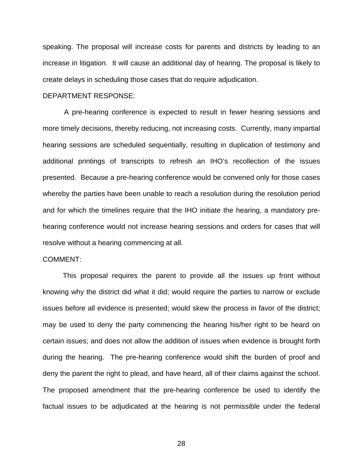speaking. The proposal will increase costs for parents and districts by leading to an increase in litigation. It will cause an additional day of hearing. The proposal is likely to create delays in scheduling those cases that do require adjudication.

# DEPARTMENT RESPONSE:

A pre-hearing conference is expected to result in fewer hearing sessions and more timely decisions, thereby reducing, not increasing costs. Currently, many impartial hearing sessions are scheduled sequentially, resulting in duplication of testimony and additional printings of transcripts to refresh an IHO's recollection of the issues presented. Because a pre-hearing conference would be convened only for those cases whereby the parties have been unable to reach a resolution during the resolution period and for which the timelines require that the IHO initiate the hearing, a mandatory prehearing conference would not increase hearing sessions and orders for cases that will resolve without a hearing commencing at all.

## COMMENT:

This proposal requires the parent to provide all the issues up front without knowing why the district did what it did; would require the parties to narrow or exclude issues before all evidence is presented; would skew the process in favor of the district; may be used to deny the party commencing the hearing his/her right to be heard on certain issues; and does not allow the addition of issues when evidence is brought forth during the hearing. The pre-hearing conference would shift the burden of proof and deny the parent the right to plead, and have heard, all of their claims against the school. The proposed amendment that the pre-hearing conference be used to identify the factual issues to be adjudicated at the hearing is not permissible under the federal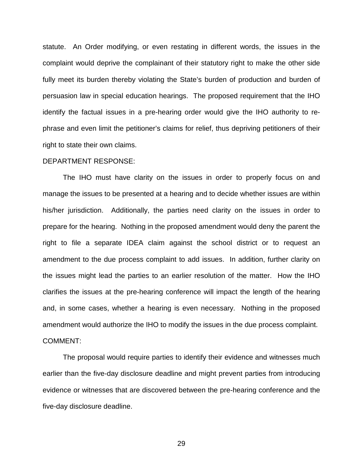statute. An Order modifying, or even restating in different words, the issues in the complaint would deprive the complainant of their statutory right to make the other side fully meet its burden thereby violating the State's burden of production and burden of persuasion law in special education hearings. The proposed requirement that the IHO identify the factual issues in a pre-hearing order would give the IHO authority to rephrase and even limit the petitioner's claims for relief, thus depriving petitioners of their right to state their own claims.

#### DEPARTMENT RESPONSE:

The IHO must have clarity on the issues in order to properly focus on and manage the issues to be presented at a hearing and to decide whether issues are within his/her jurisdiction. Additionally, the parties need clarity on the issues in order to prepare for the hearing. Nothing in the proposed amendment would deny the parent the right to file a separate IDEA claim against the school district or to request an amendment to the due process complaint to add issues. In addition, further clarity on the issues might lead the parties to an earlier resolution of the matter. How the IHO clarifies the issues at the pre-hearing conference will impact the length of the hearing and, in some cases, whether a hearing is even necessary. Nothing in the proposed amendment would authorize the IHO to modify the issues in the due process complaint. COMMENT:

The proposal would require parties to identify their evidence and witnesses much earlier than the five-day disclosure deadline and might prevent parties from introducing evidence or witnesses that are discovered between the pre-hearing conference and the five-day disclosure deadline.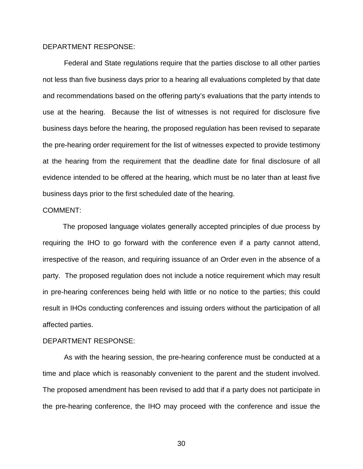# DEPARTMENT RESPONSE:

Federal and State regulations require that the parties disclose to all other parties not less than five business days prior to a hearing all evaluations completed by that date and recommendations based on the offering party's evaluations that the party intends to use at the hearing. Because the list of witnesses is not required for disclosure five business days before the hearing, the proposed regulation has been revised to separate the pre-hearing order requirement for the list of witnesses expected to provide testimony at the hearing from the requirement that the deadline date for final disclosure of all evidence intended to be offered at the hearing, which must be no later than at least five business days prior to the first scheduled date of the hearing.

#### COMMENT:

The proposed language violates generally accepted principles of due process by requiring the IHO to go forward with the conference even if a party cannot attend, irrespective of the reason, and requiring issuance of an Order even in the absence of a party. The proposed regulation does not include a notice requirement which may result in pre-hearing conferences being held with little or no notice to the parties; this could result in IHOs conducting conferences and issuing orders without the participation of all affected parties.

#### DEPARTMENT RESPONSE:

As with the hearing session, the pre-hearing conference must be conducted at a time and place which is reasonably convenient to the parent and the student involved. The proposed amendment has been revised to add that if a party does not participate in the pre-hearing conference, the IHO may proceed with the conference and issue the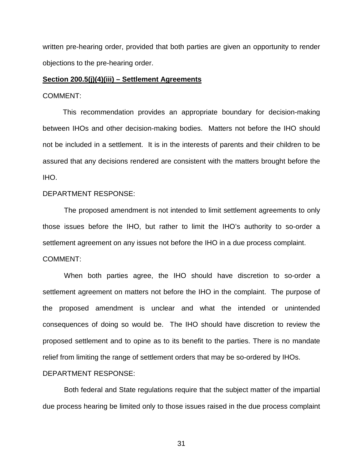written pre-hearing order, provided that both parties are given an opportunity to render objections to the pre-hearing order.

#### **Section 200.5(j)(4)(iii) – Settlement Agreements**

#### COMMENT:

This recommendation provides an appropriate boundary for decision-making between IHOs and other decision-making bodies. Matters not before the IHO should not be included in a settlement. It is in the interests of parents and their children to be assured that any decisions rendered are consistent with the matters brought before the IHO.

#### DEPARTMENT RESPONSE:

The proposed amendment is not intended to limit settlement agreements to only those issues before the IHO, but rather to limit the IHO's authority to so-order a settlement agreement on any issues not before the IHO in a due process complaint. COMMENT:

When both parties agree, the IHO should have discretion to so-order a settlement agreement on matters not before the IHO in the complaint. The purpose of the proposed amendment is unclear and what the intended or unintended consequences of doing so would be. The IHO should have discretion to review the proposed settlement and to opine as to its benefit to the parties. There is no mandate relief from limiting the range of settlement orders that may be so-ordered by IHOs.

#### DEPARTMENT RESPONSE:

Both federal and State regulations require that the subject matter of the impartial due process hearing be limited only to those issues raised in the due process complaint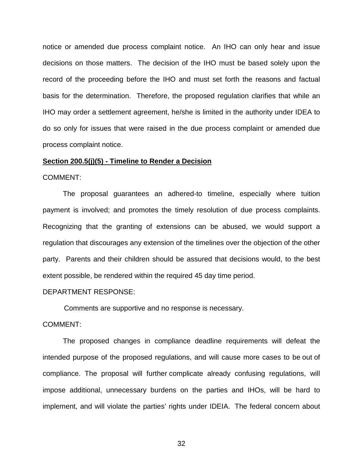notice or amended due process complaint notice. An IHO can only hear and issue decisions on those matters. The decision of the IHO must be based solely upon the record of the proceeding before the IHO and must set forth the reasons and factual basis for the determination. Therefore, the proposed regulation clarifies that while an IHO may order a settlement agreement, he/she is limited in the authority under IDEA to do so only for issues that were raised in the due process complaint or amended due process complaint notice.

#### **Section 200.5(j)(5) - Timeline to Render a Decision**

COMMENT:

The proposal guarantees an adhered-to timeline, especially where tuition payment is involved; and promotes the timely resolution of due process complaints. Recognizing that the granting of extensions can be abused, we would support a regulation that discourages any extension of the timelines over the objection of the other party. Parents and their children should be assured that decisions would, to the best extent possible, be rendered within the required 45 day time period.

# DEPARTMENT RESPONSE:

Comments are supportive and no response is necessary.

COMMENT:

The proposed changes in compliance deadline requirements will defeat the intended purpose of the proposed regulations, and will cause more cases to be out of compliance. The proposal will further complicate already confusing regulations, will impose additional, unnecessary burdens on the parties and IHOs, will be hard to implement, and will violate the parties' rights under IDEIA. The federal concern about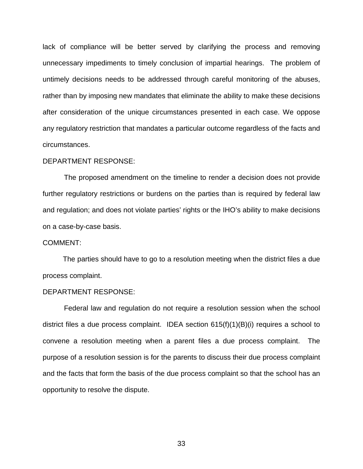lack of compliance will be better served by clarifying the process and removing unnecessary impediments to timely conclusion of impartial hearings. The problem of untimely decisions needs to be addressed through careful monitoring of the abuses, rather than by imposing new mandates that eliminate the ability to make these decisions after consideration of the unique circumstances presented in each case. We oppose any regulatory restriction that mandates a particular outcome regardless of the facts and circumstances.

#### DEPARTMENT RESPONSE:

The proposed amendment on the timeline to render a decision does not provide further regulatory restrictions or burdens on the parties than is required by federal law and regulation; and does not violate parties' rights or the IHO's ability to make decisions on a case-by-case basis.

#### COMMENT:

The parties should have to go to a resolution meeting when the district files a due process complaint.

#### DEPARTMENT RESPONSE:

Federal law and regulation do not require a resolution session when the school district files a due process complaint. IDEA section 615(f)(1)(B)(i) requires a school to convene a resolution meeting when a parent files a due process complaint. The purpose of a resolution session is for the parents to discuss their due process complaint and the facts that form the basis of the due process complaint so that the school has an opportunity to resolve the dispute.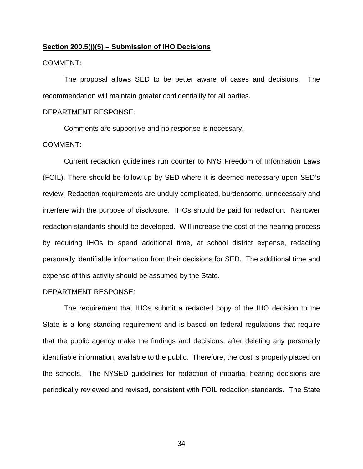#### **Section 200.5(j)(5) – Submission of IHO Decisions**

## COMMENT:

The proposal allows SED to be better aware of cases and decisions. The recommendation will maintain greater confidentiality for all parties.

## DEPARTMENT RESPONSE:

Comments are supportive and no response is necessary.

# COMMENT:

Current redaction guidelines run counter to NYS Freedom of Information Laws (FOIL). There should be follow-up by SED where it is deemed necessary upon SED's review. Redaction requirements are unduly complicated, burdensome, unnecessary and interfere with the purpose of disclosure. IHOs should be paid for redaction. Narrower redaction standards should be developed. Will increase the cost of the hearing process by requiring IHOs to spend additional time, at school district expense, redacting personally identifiable information from their decisions for SED. The additional time and expense of this activity should be assumed by the State.

## DEPARTMENT RESPONSE:

The requirement that IHOs submit a redacted copy of the IHO decision to the State is a long-standing requirement and is based on federal regulations that require that the public agency make the findings and decisions, after deleting any personally identifiable information, available to the public. Therefore, the cost is properly placed on the schools. The NYSED guidelines for redaction of impartial hearing decisions are periodically reviewed and revised, consistent with FOIL redaction standards. The State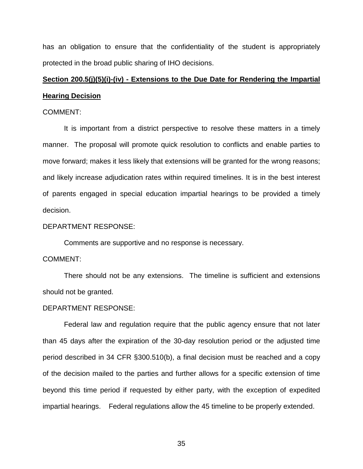has an obligation to ensure that the confidentiality of the student is appropriately protected in the broad public sharing of IHO decisions.

# **Section 200.5(j)(5)(i)-(iv) - Extensions to the Due Date for Rendering the Impartial Hearing Decision**

## COMMENT:

It is important from a district perspective to resolve these matters in a timely manner. The proposal will promote quick resolution to conflicts and enable parties to move forward; makes it less likely that extensions will be granted for the wrong reasons; and likely increase adjudication rates within required timelines. It is in the best interest of parents engaged in special education impartial hearings to be provided a timely decision.

#### DEPARTMENT RESPONSE:

Comments are supportive and no response is necessary.

# COMMENT:

There should not be any extensions. The timeline is sufficient and extensions should not be granted.

#### DEPARTMENT RESPONSE:

Federal law and regulation require that the public agency ensure that not later than 45 days after the expiration of the 30-day resolution period or the adjusted time period described in 34 CFR §300.510(b), a final decision must be reached and a copy of the decision mailed to the parties and further allows for a specific extension of time beyond this time period if requested by either party, with the exception of expedited impartial hearings. Federal regulations allow the 45 timeline to be properly extended.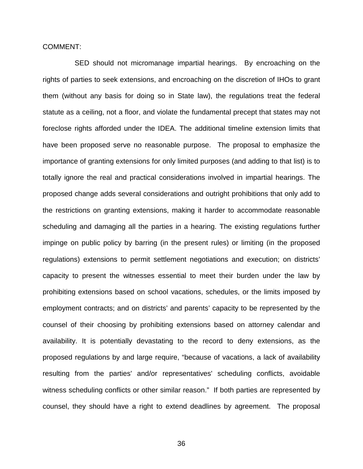COMMENT:

SED should not micromanage impartial hearings. By encroaching on the rights of parties to seek extensions, and encroaching on the discretion of IHOs to grant them (without any basis for doing so in State law), the regulations treat the federal statute as a ceiling, not a floor, and violate the fundamental precept that states may not foreclose rights afforded under the IDEA. The additional timeline extension limits that have been proposed serve no reasonable purpose. The proposal to emphasize the importance of granting extensions for only limited purposes (and adding to that list) is to totally ignore the real and practical considerations involved in impartial hearings. The proposed change adds several considerations and outright prohibitions that only add to the restrictions on granting extensions, making it harder to accommodate reasonable scheduling and damaging all the parties in a hearing. The existing regulations further impinge on public policy by barring (in the present rules) or limiting (in the proposed regulations) extensions to permit settlement negotiations and execution; on districts' capacity to present the witnesses essential to meet their burden under the law by prohibiting extensions based on school vacations, schedules, or the limits imposed by employment contracts; and on districts' and parents' capacity to be represented by the counsel of their choosing by prohibiting extensions based on attorney calendar and availability. It is potentially devastating to the record to deny extensions, as the proposed regulations by and large require, "because of vacations, a lack of availability resulting from the parties' and/or representatives' scheduling conflicts, avoidable witness scheduling conflicts or other similar reason." If both parties are represented by counsel, they should have a right to extend deadlines by agreement. The proposal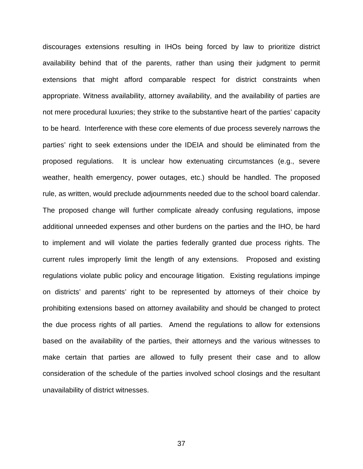discourages extensions resulting in IHOs being forced by law to prioritize district availability behind that of the parents, rather than using their judgment to permit extensions that might afford comparable respect for district constraints when appropriate. Witness availability, attorney availability, and the availability of parties are not mere procedural luxuries; they strike to the substantive heart of the parties' capacity to be heard. Interference with these core elements of due process severely narrows the parties' right to seek extensions under the IDEIA and should be eliminated from the proposed regulations. It is unclear how extenuating circumstances (e.g., severe weather, health emergency, power outages, etc.) should be handled. The proposed rule, as written, would preclude adjournments needed due to the school board calendar. The proposed change will further complicate already confusing regulations, impose additional unneeded expenses and other burdens on the parties and the IHO, be hard to implement and will violate the parties federally granted due process rights. The current rules improperly limit the length of any extensions. Proposed and existing regulations violate public policy and encourage litigation. Existing regulations impinge on districts' and parents' right to be represented by attorneys of their choice by prohibiting extensions based on attorney availability and should be changed to protect the due process rights of all parties. Amend the regulations to allow for extensions based on the availability of the parties, their attorneys and the various witnesses to make certain that parties are allowed to fully present their case and to allow consideration of the schedule of the parties involved school closings and the resultant unavailability of district witnesses.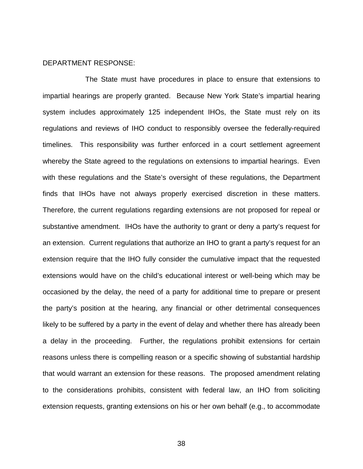## DEPARTMENT RESPONSE:

The State must have procedures in place to ensure that extensions to impartial hearings are properly granted. Because New York State's impartial hearing system includes approximately 125 independent IHOs, the State must rely on its regulations and reviews of IHO conduct to responsibly oversee the federally-required timelines. This responsibility was further enforced in a court settlement agreement whereby the State agreed to the regulations on extensions to impartial hearings. Even with these regulations and the State's oversight of these regulations, the Department finds that IHOs have not always properly exercised discretion in these matters. Therefore, the current regulations regarding extensions are not proposed for repeal or substantive amendment. IHOs have the authority to grant or deny a party's request for an extension. Current regulations that authorize an IHO to grant a party's request for an extension require that the IHO fully consider the cumulative impact that the requested extensions would have on the child's educational interest or well-being which may be occasioned by the delay, the need of a party for additional time to prepare or present the party's position at the hearing, any financial or other detrimental consequences likely to be suffered by a party in the event of delay and whether there has already been a delay in the proceeding. Further, the regulations prohibit extensions for certain reasons unless there is compelling reason or a specific showing of substantial hardship that would warrant an extension for these reasons. The proposed amendment relating to the considerations prohibits, consistent with federal law, an IHO from soliciting extension requests, granting extensions on his or her own behalf (e.g., to accommodate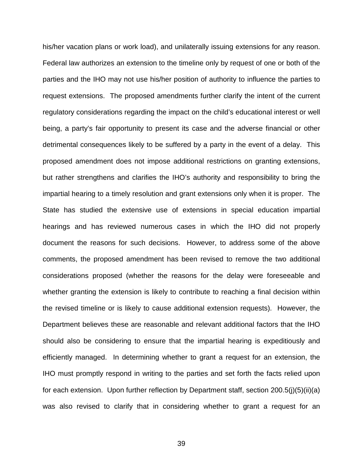his/her vacation plans or work load), and unilaterally issuing extensions for any reason. Federal law authorizes an extension to the timeline only by request of one or both of the parties and the IHO may not use his/her position of authority to influence the parties to request extensions. The proposed amendments further clarify the intent of the current regulatory considerations regarding the impact on the child's educational interest or well being, a party's fair opportunity to present its case and the adverse financial or other detrimental consequences likely to be suffered by a party in the event of a delay. This proposed amendment does not impose additional restrictions on granting extensions, but rather strengthens and clarifies the IHO's authority and responsibility to bring the impartial hearing to a timely resolution and grant extensions only when it is proper. The State has studied the extensive use of extensions in special education impartial hearings and has reviewed numerous cases in which the IHO did not properly document the reasons for such decisions. However, to address some of the above comments, the proposed amendment has been revised to remove the two additional considerations proposed (whether the reasons for the delay were foreseeable and whether granting the extension is likely to contribute to reaching a final decision within the revised timeline or is likely to cause additional extension requests). However, the Department believes these are reasonable and relevant additional factors that the IHO should also be considering to ensure that the impartial hearing is expeditiously and efficiently managed. In determining whether to grant a request for an extension, the IHO must promptly respond in writing to the parties and set forth the facts relied upon for each extension. Upon further reflection by Department staff, section 200.5(j)(5)(ii)(a) was also revised to clarify that in considering whether to grant a request for an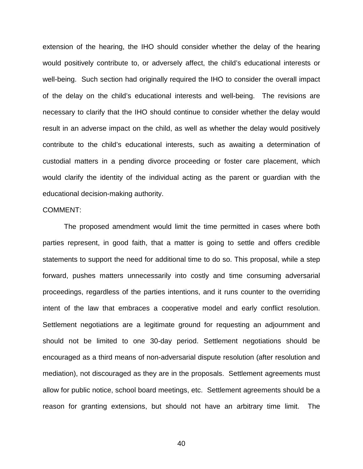extension of the hearing, the IHO should consider whether the delay of the hearing would positively contribute to, or adversely affect, the child's educational interests or well-being. Such section had originally required the IHO to consider the overall impact of the delay on the child's educational interests and well-being. The revisions are necessary to clarify that the IHO should continue to consider whether the delay would result in an adverse impact on the child, as well as whether the delay would positively contribute to the child's educational interests, such as awaiting a determination of custodial matters in a pending divorce proceeding or foster care placement, which would clarify the identity of the individual acting as the parent or guardian with the educational decision-making authority.

#### COMMENT:

The proposed amendment would limit the time permitted in cases where both parties represent, in good faith, that a matter is going to settle and offers credible statements to support the need for additional time to do so. This proposal, while a step forward, pushes matters unnecessarily into costly and time consuming adversarial proceedings, regardless of the parties intentions, and it runs counter to the overriding intent of the law that embraces a cooperative model and early conflict resolution. Settlement negotiations are a legitimate ground for requesting an adjournment and should not be limited to one 30-day period. Settlement negotiations should be encouraged as a third means of non-adversarial dispute resolution (after resolution and mediation), not discouraged as they are in the proposals. Settlement agreements must allow for public notice, school board meetings, etc. Settlement agreements should be a reason for granting extensions, but should not have an arbitrary time limit. The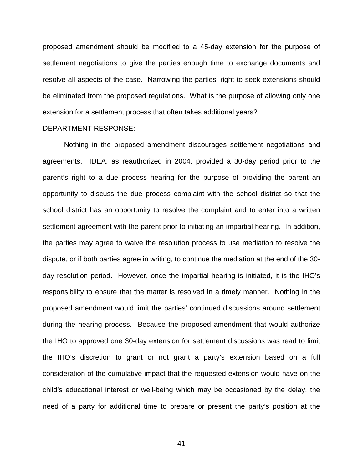proposed amendment should be modified to a 45-day extension for the purpose of settlement negotiations to give the parties enough time to exchange documents and resolve all aspects of the case. Narrowing the parties' right to seek extensions should be eliminated from the proposed regulations. What is the purpose of allowing only one extension for a settlement process that often takes additional years?

# DEPARTMENT RESPONSE:

Nothing in the proposed amendment discourages settlement negotiations and agreements. IDEA, as reauthorized in 2004, provided a 30-day period prior to the parent's right to a due process hearing for the purpose of providing the parent an opportunity to discuss the due process complaint with the school district so that the school district has an opportunity to resolve the complaint and to enter into a written settlement agreement with the parent prior to initiating an impartial hearing. In addition, the parties may agree to waive the resolution process to use mediation to resolve the dispute, or if both parties agree in writing, to continue the mediation at the end of the 30 day resolution period. However, once the impartial hearing is initiated, it is the IHO's responsibility to ensure that the matter is resolved in a timely manner. Nothing in the proposed amendment would limit the parties' continued discussions around settlement during the hearing process. Because the proposed amendment that would authorize the IHO to approved one 30-day extension for settlement discussions was read to limit the IHO's discretion to grant or not grant a party's extension based on a full consideration of the cumulative impact that the requested extension would have on the child's educational interest or well-being which may be occasioned by the delay, the need of a party for additional time to prepare or present the party's position at the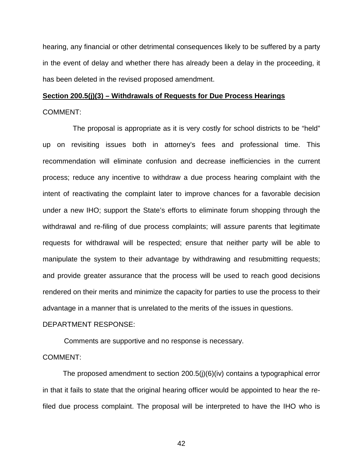hearing, any financial or other detrimental consequences likely to be suffered by a party in the event of delay and whether there has already been a delay in the proceeding, it has been deleted in the revised proposed amendment.

# **Section 200.5(j)(3) – Withdrawals of Requests for Due Process Hearings** COMMENT:

 The proposal is appropriate as it is very costly for school districts to be "held" up on revisiting issues both in attorney's fees and professional time. This recommendation will eliminate confusion and decrease inefficiencies in the current process; reduce any incentive to withdraw a due process hearing complaint with the intent of reactivating the complaint later to improve chances for a favorable decision under a new IHO; support the State's efforts to eliminate forum shopping through the withdrawal and re-filing of due process complaints; will assure parents that legitimate requests for withdrawal will be respected; ensure that neither party will be able to manipulate the system to their advantage by withdrawing and resubmitting requests; and provide greater assurance that the process will be used to reach good decisions rendered on their merits and minimize the capacity for parties to use the process to their advantage in a manner that is unrelated to the merits of the issues in questions.

# DEPARTMENT RESPONSE:

Comments are supportive and no response is necessary.

## COMMENT:

The proposed amendment to section 200.5(j)(6)(iv) contains a typographical error in that it fails to state that the original hearing officer would be appointed to hear the refiled due process complaint. The proposal will be interpreted to have the IHO who is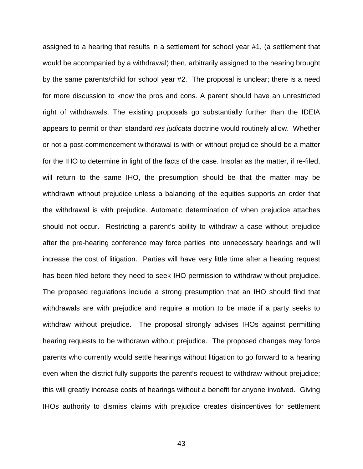assigned to a hearing that results in a settlement for school year #1, (a settlement that would be accompanied by a withdrawal) then, arbitrarily assigned to the hearing brought by the same parents/child for school year #2. The proposal is unclear; there is a need for more discussion to know the pros and cons. A parent should have an unrestricted right of withdrawals. The existing proposals go substantially further than the IDEIA appears to permit or than standard *res judicata* doctrine would routinely allow. Whether or not a post-commencement withdrawal is with or without prejudice should be a matter for the IHO to determine in light of the facts of the case. Insofar as the matter, if re-filed, will return to the same IHO, the presumption should be that the matter may be withdrawn without prejudice unless a balancing of the equities supports an order that the withdrawal is with prejudice. Automatic determination of when prejudice attaches should not occur. Restricting a parent's ability to withdraw a case without prejudice after the pre-hearing conference may force parties into unnecessary hearings and will increase the cost of litigation. Parties will have very little time after a hearing request has been filed before they need to seek IHO permission to withdraw without prejudice. The proposed regulations include a strong presumption that an IHO should find that withdrawals are with prejudice and require a motion to be made if a party seeks to withdraw without prejudice. The proposal strongly advises IHOs against permitting hearing requests to be withdrawn without prejudice. The proposed changes may force parents who currently would settle hearings without litigation to go forward to a hearing even when the district fully supports the parent's request to withdraw without prejudice; this will greatly increase costs of hearings without a benefit for anyone involved. Giving IHOs authority to dismiss claims with prejudice creates disincentives for settlement